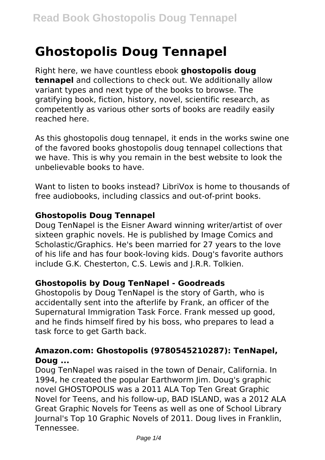# **Ghostopolis Doug Tennapel**

Right here, we have countless ebook **ghostopolis doug tennapel** and collections to check out. We additionally allow variant types and next type of the books to browse. The gratifying book, fiction, history, novel, scientific research, as competently as various other sorts of books are readily easily reached here.

As this ghostopolis doug tennapel, it ends in the works swine one of the favored books ghostopolis doug tennapel collections that we have. This is why you remain in the best website to look the unbelievable books to have.

Want to listen to books instead? LibriVox is home to thousands of free audiobooks, including classics and out-of-print books.

## **Ghostopolis Doug Tennapel**

Doug TenNapel is the Eisner Award winning writer/artist of over sixteen graphic novels. He is published by Image Comics and Scholastic/Graphics. He's been married for 27 years to the love of his life and has four book-loving kids. Doug's favorite authors include G.K. Chesterton, C.S. Lewis and J.R.R. Tolkien.

## **Ghostopolis by Doug TenNapel - Goodreads**

Ghostopolis by Doug TenNapel is the story of Garth, who is accidentally sent into the afterlife by Frank, an officer of the Supernatural Immigration Task Force. Frank messed up good, and he finds himself fired by his boss, who prepares to lead a task force to get Garth back.

## **Amazon.com: Ghostopolis (9780545210287): TenNapel, Doug ...**

Doug TenNapel was raised in the town of Denair, California. In 1994, he created the popular Earthworm Jim. Doug's graphic novel GHOSTOPOLIS was a 2011 ALA Top Ten Great Graphic Novel for Teens, and his follow-up, BAD ISLAND, was a 2012 ALA Great Graphic Novels for Teens as well as one of School Library Journal's Top 10 Graphic Novels of 2011. Doug lives in Franklin, Tennessee.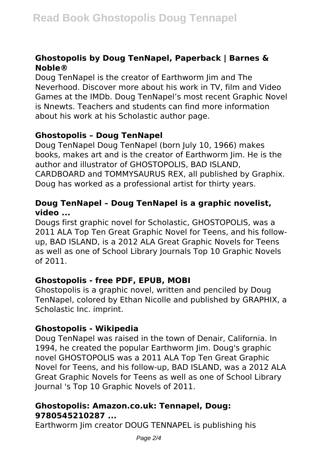# **Ghostopolis by Doug TenNapel, Paperback | Barnes & Noble®**

Doug TenNapel is the creator of Earthworm Jim and The Neverhood. Discover more about his work in TV, film and Video Games at the IMDb. Doug TenNapel's most recent Graphic Novel is Nnewts. Teachers and students can find more information about his work at his Scholastic author page.

# **Ghostopolis – Doug TenNapel**

Doug TenNapel Doug TenNapel (born July 10, 1966) makes books, makes art and is the creator of Earthworm Jim. He is the author and illustrator of GHOSTOPOLIS, BAD ISLAND, CARDBOARD and TOMMYSAURUS REX, all published by Graphix. Doug has worked as a professional artist for thirty years.

# **Doug TenNapel – Doug TenNapel is a graphic novelist, video ...**

Dougs first graphic novel for Scholastic, GHOSTOPOLIS, was a 2011 ALA Top Ten Great Graphic Novel for Teens, and his followup, BAD ISLAND, is a 2012 ALA Great Graphic Novels for Teens as well as one of School Library Journals Top 10 Graphic Novels of 2011.

# **Ghostopolis - free PDF, EPUB, MOBI**

Ghostopolis is a graphic novel, written and penciled by Doug TenNapel, colored by Ethan Nicolle and published by GRAPHIX, a Scholastic Inc. imprint.

# **Ghostopolis - Wikipedia**

Doug TenNapel was raised in the town of Denair, California. In 1994, he created the popular Earthworm Jim. Doug's graphic novel GHOSTOPOLIS was a 2011 ALA Top Ten Great Graphic Novel for Teens, and his follow-up, BAD ISLAND, was a 2012 ALA Great Graphic Novels for Teens as well as one of School Library Journal 's Top 10 Graphic Novels of 2011.

## **Ghostopolis: Amazon.co.uk: Tennapel, Doug: 9780545210287 ...**

Earthworm Jim creator DOUG TENNAPEL is publishing his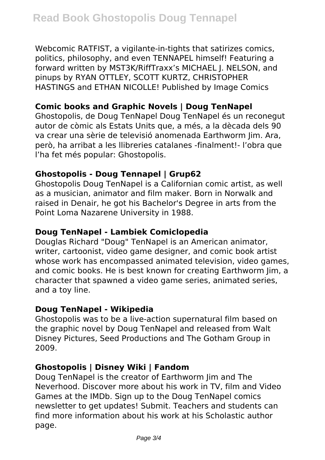Webcomic RATFIST, a vigilante-in-tights that satirizes comics, politics, philosophy, and even TENNAPEL himself! Featuring a forward written by MST3K/RiffTraxx's MICHAEL J. NELSON, and pinups by RYAN OTTLEY, SCOTT KURTZ, CHRISTOPHER HASTINGS and ETHAN NICOLLE! Published by Image Comics

## **Comic books and Graphic Novels | Doug TenNapel**

Ghostopolis, de Doug TenNapel Doug TenNapel és un reconegut autor de còmic als Estats Units que, a més, a la dècada dels 90 va crear una sèrie de televisió anomenada Earthworm Jim. Ara, però, ha arribat a les llibreries catalanes -finalment!- l'obra que l'ha fet més popular: Ghostopolis.

## **Ghostopolis - Doug Tennapel | Grup62**

Ghostopolis Doug TenNapel is a Californian comic artist, as well as a musician, animator and film maker. Born in Norwalk and raised in Denair, he got his Bachelor's Degree in arts from the Point Loma Nazarene University in 1988.

## **Doug TenNapel - Lambiek Comiclopedia**

Douglas Richard "Doug" TenNapel is an American animator, writer, cartoonist, video game designer, and comic book artist whose work has encompassed animated television, video games, and comic books. He is best known for creating Earthworm Jim, a character that spawned a video game series, animated series, and a toy line.

## **Doug TenNapel - Wikipedia**

Ghostopolis was to be a live-action supernatural film based on the graphic novel by Doug TenNapel and released from Walt Disney Pictures, Seed Productions and The Gotham Group in 2009.

## **Ghostopolis | Disney Wiki | Fandom**

Doug TenNapel is the creator of Earthworm Jim and The Neverhood. Discover more about his work in TV, film and Video Games at the IMDb. Sign up to the Doug TenNapel comics newsletter to get updates! Submit. Teachers and students can find more information about his work at his Scholastic author page.